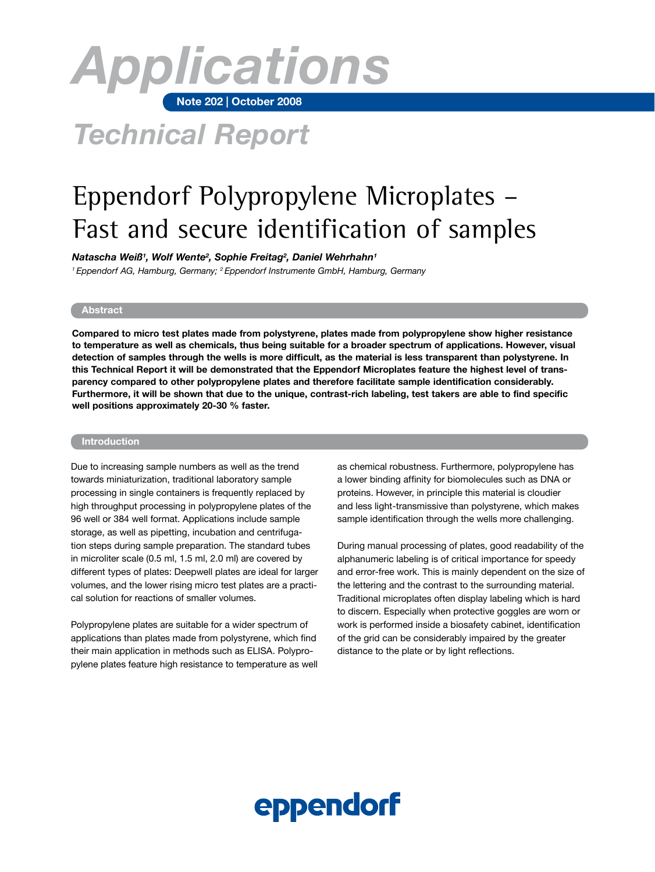

## *Technical Report*

## Eppendorf Polypropylene Microplates – Fast and secure identification of samples

*Natascha Weiß1 , Wolf Wente2 , Sophie Freitag2 , Daniel Wehrhahn1*

*1 Eppendorf AG, Hamburg, Germany; 2 Eppendorf Instrumente GmbH, Hamburg, Germany*

## **Abstract**

**Compared to micro test plates made from polystyrene, plates made from polypropylene show higher resistance to temperature as well as chemicals, thus being suitable for a broader spectrum of applications. However, visual detection of samples through the wells is more difficult, as the material is less transparent than polystyrene. In this Technical Report it will be demonstrated that the Eppendorf Microplates feature the highest level of transparency compared to other polypropylene plates and therefore facilitate sample identification considerably. Furthermore, it will be shown that due to the unique, contrast-rich labeling, test takers are able to find specific well positions approximately 20-30 % faster.** 

## **Introduction**

Due to increasing sample numbers as well as the trend towards miniaturization, traditional laboratory sample processing in single containers is frequently replaced by high throughput processing in polypropylene plates of the 96 well or 384 well format. Applications include sample storage, as well as pipetting, incubation and centrifugation steps during sample preparation. The standard tubes in microliter scale (0.5 ml, 1.5 ml, 2.0 ml) are covered by different types of plates: Deepwell plates are ideal for larger volumes, and the lower rising micro test plates are a practical solution for reactions of smaller volumes.

Polypropylene plates are suitable for a wider spectrum of applications than plates made from polystyrene, which find their main application in methods such as ELISA. Polypropylene plates feature high resistance to temperature as well as chemical robustness. Furthermore, polypropylene has a lower binding affinity for biomolecules such as DNA or proteins. However, in principle this material is cloudier and less light-transmissive than polystyrene, which makes sample identification through the wells more challenging.

During manual processing of plates, good readability of the alphanumeric labeling is of critical importance for speedy and error-free work. This is mainly dependent on the size of the lettering and the contrast to the surrounding material. Traditional microplates often display labeling which is hard to discern. Especially when protective goggles are worn or work is performed inside a biosafety cabinet, identification of the grid can be considerably impaired by the greater distance to the plate or by light reflections.

# eppendorf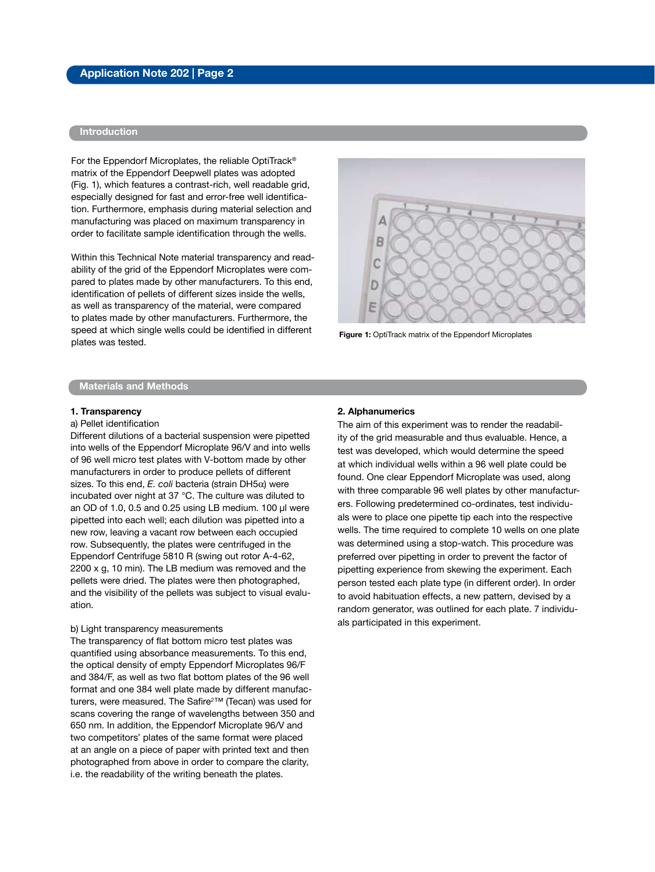## **Introduction**

For the Eppendorf Microplates, the reliable OptiTrack<sup>®</sup> matrix of the Eppendorf Deepwell plates was adopted (Fig. 1), which features a contrast-rich, well readable grid, especially designed for fast and error-free well identification. Furthermore, emphasis during material selection and manufacturing was placed on maximum transparency in order to facilitate sample identification through the wells.

Within this Technical Note material transparency and readability of the grid of the Eppendorf Microplates were compared to plates made by other manufacturers. To this end, identification of pellets of different sizes inside the wells, as well as transparency of the material, were compared to plates made by other manufacturers. Furthermore, the speed at which single wells could be identified in different plates was tested.



**Figure 1:** OptiTrack matrix of the Eppendorf Microplates

#### **Materials and Methods**

#### **1. Transparency**

#### a) Pellet identification

Different dilutions of a bacterial suspension were pipetted into wells of the Eppendorf Microplate 96/V and into wells of 96 well micro test plates with V-bottom made by other manufacturers in order to produce pellets of different sizes. To this end, *E. coli* bacteria (strain DH5a) were incubated over night at 37 °C. The culture was diluted to an OD of 1.0, 0.5 and 0.25 using LB medium. 100 µl were pipetted into each well; each dilution was pipetted into a new row, leaving a vacant row between each occupied row. Subsequently, the plates were centrifuged in the Eppendorf Centrifuge 5810 R (swing out rotor A-4-62, 2200 x g, 10 min). The LB medium was removed and the pellets were dried. The plates were then photographed, and the visibility of the pellets was subject to visual evaluation.

#### b) Light transparency measurements

The transparency of flat bottom micro test plates was quantified using absorbance measurements. To this end, the optical density of empty Eppendorf Microplates 96/F and 384/F, as well as two flat bottom plates of the 96 well format and one 384 well plate made by different manufacturers, were measured. The Safire<sup>2™</sup> (Tecan) was used for scans covering the range of wavelengths between 350 and 650 nm. In addition, the Eppendorf Microplate 96/V and two competitors' plates of the same format were placed at an angle on a piece of paper with printed text and then photographed from above in order to compare the clarity, i.e. the readability of the writing beneath the plates.

#### **2. Alphanumerics**

The aim of this experiment was to render the readability of the grid measurable and thus evaluable. Hence, a test was developed, which would determine the speed at which individual wells within a 96 well plate could be found. One clear Eppendorf Microplate was used, along with three comparable 96 well plates by other manufacturers. Following predetermined co-ordinates, test individuals were to place one pipette tip each into the respective wells. The time required to complete 10 wells on one plate was determined using a stop-watch. This procedure was preferred over pipetting in order to prevent the factor of pipetting experience from skewing the experiment. Each person tested each plate type (in different order). In order to avoid habituation effects, a new pattern, devised by a random generator, was outlined for each plate. 7 individuals participated in this experiment.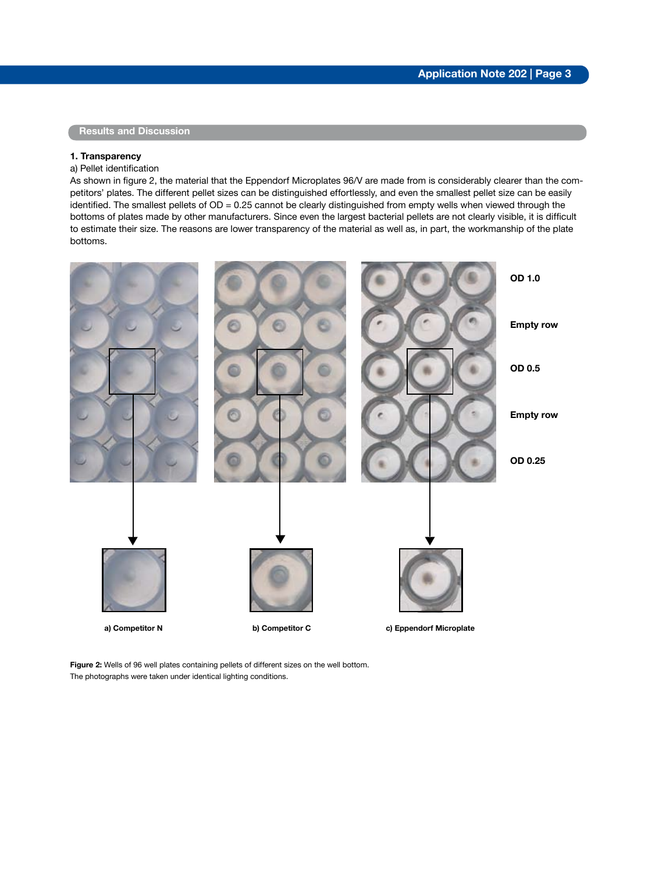## **Results and Discussion**

## **1. Transparency**

#### a) Pellet identification

As shown in figure 2, the material that the Eppendorf Microplates 96/V are made from is considerably clearer than the competitors' plates. The different pellet sizes can be distinguished effortlessly, and even the smallest pellet size can be easily identified. The smallest pellets of OD = 0.25 cannot be clearly distinguished from empty wells when viewed through the bottoms of plates made by other manufacturers. Since even the largest bacterial pellets are not clearly visible, it is difficult to estimate their size. The reasons are lower transparency of the material as well as, in part, the workmanship of the plate bottoms.



**Figure 2:** Wells of 96 well plates containing pellets of different sizes on the well bottom. The photographs were taken under identical lighting conditions.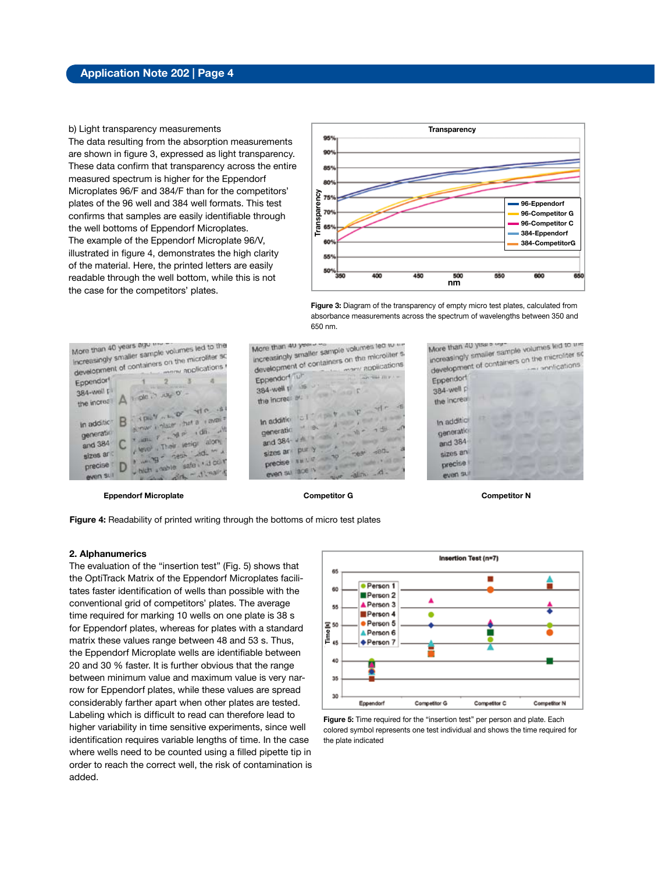#### b) Light transparency measurements

The data resulting from the absorption measurements are shown in figure 3, expressed as light transparency. These data confirm that transparency across the entire measured spectrum is higher for the Eppendorf Microplates 96/F and 384/F than for the competitors' plates of the 96 well and 384 well formats. This test confirms that samples are easily identifiable through the well bottoms of Eppendorf Microplates. The example of the Eppendorf Microplate 96/V, illustrated in figure 4, demonstrates the high clarity of the material. Here, the printed letters are easily readable through the well bottom, while this is not the case for the competitors' plates.



**Figure 3:** Diagram of the transparency of empty micro test plates, calculated from absorbance measurements across the spectrum of wavelengths between 350 and 650 nm.

More than 40 years ago the volumes led to the<br>Increasingly smaller sample volumes led to the<br>Increasingly to discrimers on the microtions More than 40 years ago the Increasingly smaller sample volumes led in<br>Increasingly smaller sample volumes on the microfiter sc viners on the microliter Eppendorf  $-4$  $2<sup>3</sup>$ **CHIE** 384-well p 384-well El A in ple is jugo of the increase  $B = \frac{1}{\sqrt{2\pi}} \frac{1}{\sqrt{2\pi}} \int_{0}^{\frac{\pi}{2}} \frac{1}{\sqrt{2\pi}} \frac{1}{\sqrt{2\pi}} e^{-\frac{1}{2} \pi} \frac{1}{\sqrt{2\pi}} e^{-\frac{1}{2} \pi} \frac{1}{\sqrt{2\pi}} e^{-\frac{1}{2} \pi}$ The final De Tat a Lavair where i ning is that a research generation y satura Their lesign alone and  $384$   $\degree$ www.main.letin and man sizes ard which stable safe indicor precise t D plint - althally even sur

 **Eppendorf Microplate Competitor G Competitor N**

More than 40 years<br>increasingly smaller sample volumes led to the<br>increasingly strike containers on the microliter More than 40 years More than 40 smaller sample volumes leu oiler s<br>increasingly smaller sample volumes leu<br>development of containers on the microliter s liners on the missions Eppendont lub Sella my : -384-well the reserved the incredible is a state of the incredible is In addition of the state  $\mathbf{v} = \mathbf{v} - \mathbf{v}$ In addition to  $\frac{1}{10}$  in the second term of the second term of the second term of the second term of the second term of the second term of the second term of the second term of the second term of the second term of th In agenciation  $\frac{1}{2}$  on  $\frac{1}{2}$  on  $\frac{1}{2}$  on  $\frac{1}{2}$  on  $\frac{1}{2}$  on  $\frac{1}{2}$  on  $\frac{1}{2}$  on  $\frac{1}{2}$  on  $\frac{1}{2}$  on  $\frac{1}{2}$  on  $\frac{1}{2}$  on  $\frac{1}{2}$  on  $\frac{1}{2}$  on  $\frac{1}{2}$  on  $\frac{1}{2}$  on  $\frac{1}{2}$  o and 384  $\frac{1}{2}$  pur y  $\frac{1}{2}$   $\frac{1}{2}$   $\frac{1}{2}$   $\frac{1}{2}$   $\frac{1}{2}$   $\frac{1}{2}$   $\frac{1}{2}$   $\frac{1}{2}$   $\frac{1}{2}$   $\frac{1}{2}$   $\frac{1}{2}$   $\frac{1}{2}$   $\frac{1}{2}$   $\frac{1}{2}$   $\frac{1}{2}$   $\frac{1}{2}$   $\frac{1}{2}$   $\frac{1}{2}$   $\frac{1}{2}$   $\frac{1}{2$ sizes and the  $\frac{1}{2}$  sizes and  $\frac{1}{2}$  of  $\frac{1}{2}$  of  $\frac{1}{2}$  of  $\frac{1}{2}$  of  $\frac{1}{2}$  of  $\frac{1}{2}$  of  $\frac{1}{2}$  of  $\frac{1}{2}$  of  $\frac{1}{2}$  of  $\frac{1}{2}$  or  $\frac{1}{2}$  or  $\frac{1}{2}$  or  $\frac{1}{2}$  or  $\frac{1}{2}$  or  $\frac{1$ precise that  $\frac{1}{2}$  is  $\frac{1}{2}$  in  $\frac{1}{2}$  in  $\frac{1}{2}$  in  $\frac{1}{2}$  in  $\frac{1}{2}$  in  $\frac{1}{2}$  in  $\frac{1}{2}$  in  $\frac{1}{2}$  in  $\frac{1}{2}$  in  $\frac{1}{2}$  in  $\frac{1}{2}$  in  $\frac{1}{2}$  in  $\frac{1}{2}$  in  $\frac{1}{2}$  in  $\frac{1}{2}$  in

More than 40 years<br>increasingly smaller sample volumes led to the<br>increasingly of containers on the microtions the than we smaller sample volumes we increasingly smaller sample volumes we matchines so Eppendorf 384-well p the increase In addition generation and 384 sizes an precise even su

**Figure 4:** Readability of printed writing through the bottoms of micro test plates

#### **2. Alphanumerics**

The evaluation of the "insertion test" (Fig. 5) shows that the OptiTrack Matrix of the Eppendorf Microplates facilitates faster identification of wells than possible with the conventional grid of competitors' plates. The average time required for marking 10 wells on one plate is 38 s for Eppendorf plates, whereas for plates with a standard matrix these values range between 48 and 53 s. Thus, the Eppendorf Microplate wells are identifiable between 20 and 30 % faster. It is further obvious that the range between minimum value and maximum value is very narrow for Eppendorf plates, while these values are spread considerably farther apart when other plates are tested. Labeling which is difficult to read can therefore lead to higher variability in time sensitive experiments, since well identification requires variable lengths of time. In the case where wells need to be counted using a filled pipette tip in order to reach the correct well, the risk of contamination is added.



**Figure 5:** Time required for the "insertion test" per person and plate. Each colored symbol represents one test individual and shows the time required for the plate indicated